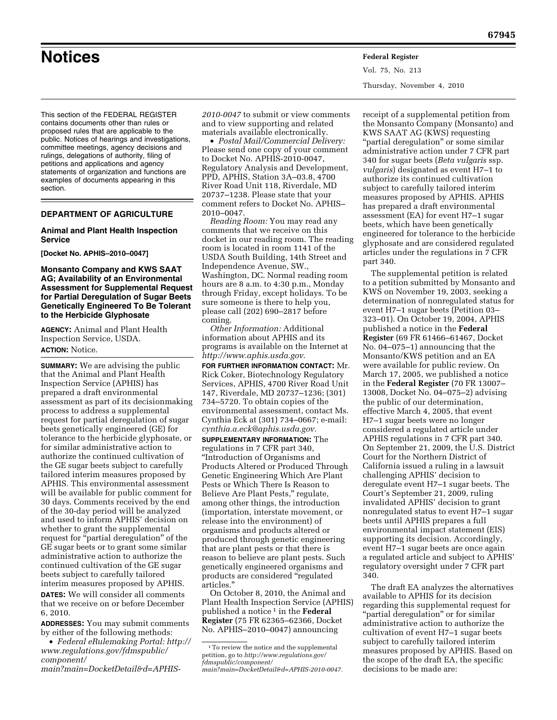This section of the FEDERAL REGISTER contains documents other than rules or proposed rules that are applicable to the public. Notices of hearings and investigations, committee meetings, agency decisions and rulings, delegations of authority, filing of petitions and applications and agency statements of organization and functions are examples of documents appearing in this section.

## **DEPARTMENT OF AGRICULTURE**

### **Animal and Plant Health Inspection Service**

**[Docket No. APHIS–2010–0047]** 

**Monsanto Company and KWS SAAT AG; Availability of an Environmental Assessment for Supplemental Request for Partial Deregulation of Sugar Beets Genetically Engineered To Be Tolerant to the Herbicide Glyphosate** 

**AGENCY:** Animal and Plant Health Inspection Service, USDA. **ACTION:** Notice.

**SUMMARY:** We are advising the public that the Animal and Plant Health Inspection Service (APHIS) has prepared a draft environmental assessment as part of its decisionmaking process to address a supplemental request for partial deregulation of sugar beets genetically engineered (GE) for tolerance to the herbicide glyphosate, or for similar administrative action to authorize the continued cultivation of the GE sugar beets subject to carefully tailored interim measures proposed by APHIS. This environmental assessment will be available for public comment for 30 days. Comments received by the end of the 30-day period will be analyzed and used to inform APHIS' decision on whether to grant the supplemental request for "partial deregulation" of the GE sugar beets or to grant some similar administrative action to authorize the continued cultivation of the GE sugar beets subject to carefully tailored interim measures proposed by APHIS. **DATES:** We will consider all comments that we receive on or before December 6, 2010.

**ADDRESSES:** You may submit comments by either of the following methods:

- *Federal eRulemaking Portal: [http://](http://www.regulations.gov/fdmspublic/component/main?main=DocketDetail&d=APHIS-2010-0047)  [www.regulations.gov/fdmspublic/](http://www.regulations.gov/fdmspublic/component/main?main=DocketDetail&d=APHIS-2010-0047)  [component/](http://www.regulations.gov/fdmspublic/component/main?main=DocketDetail&d=APHIS-2010-0047)*
- *[main?main=DocketDetail&d=APHIS-](http://www.regulations.gov/fdmspublic/component/main?main=DocketDetail&d=APHIS-2010-0047)*

• *Postal Mail/Commercial Delivery:*  Please send one copy of your comment to Docket No. APHIS-2010-0047, Regulatory Analysis and Development, PPD, APHIS, Station 3A–03.8, 4700 River Road Unit 118, Riverdale, MD 20737–1238. Please state that your comment refers to Docket No. APHIS– 2010–0047.

*Reading Room:* You may read any comments that we receive on this docket in our reading room. The reading room is located in room 1141 of the USDA South Building, 14th Street and Independence Avenue, SW., Washington, DC. Normal reading room hours are 8 a.m. to 4:30 p.m., Monday through Friday, except holidays. To be sure someone is there to help you, please call (202) 690–2817 before coming.

*Other Information:* Additional information about APHIS and its programs is available on the Internet at *[http://www.aphis.usda.gov.](http://www.aphis.usda.gov)* 

**FOR FURTHER INFORMATION CONTACT:** Mr. Rick Coker, Biotechnology Regulatory Services, APHIS, 4700 River Road Unit 147, Riverdale, MD 20737–1236; (301) 734–5720. To obtain copies of the environmental assessment, contact Ms. Cynthia Eck at (301) 734–0667; e-mail: *[cynthia.a.eck@aphis.usda.gov.](mailto:cynthia.a.eck@aphis.usda.gov)* 

**SUPPLEMENTARY INFORMATION:** The regulations in 7 CFR part 340, ''Introduction of Organisms and Products Altered or Produced Through Genetic Engineering Which Are Plant Pests or Which There Is Reason to Believe Are Plant Pests," regulate, among other things, the introduction (importation, interstate movement, or release into the environment) of organisms and products altered or produced through genetic engineering that are plant pests or that there is reason to believe are plant pests. Such genetically engineered organisms and products are considered ''regulated articles.''

On October 8, 2010, the Animal and Plant Health Inspection Service (APHIS) published a notice 1 in the **Federal Register** (75 FR 62365–62366, Docket No. APHIS–2010–0047) announcing

receipt of a supplemental petition from the Monsanto Company (Monsanto) and KWS SAAT AG (KWS) requesting "partial deregulation" or some similar administrative action under 7 CFR part 340 for sugar beets (*Beta vulgaris* ssp. *vulgaris*) designated as event H7–1 to authorize its continued cultivation subject to carefully tailored interim measures proposed by APHIS. APHIS has prepared a draft environmental assessment (EA) for event H7–1 sugar beets, which have been genetically engineered for tolerance to the herbicide glyphosate and are considered regulated articles under the regulations in 7 CFR part 340.

The supplemental petition is related to a petition submitted by Monsanto and KWS on November 19, 2003, seeking a determination of nonregulated status for event H7–1 sugar beets (Petition 03– 323–01). On October 19, 2004, APHIS published a notice in the **Federal Register** (69 FR 61466–61467, Docket No. 04–075–1) announcing that the Monsanto/KWS petition and an EA were available for public review. On March 17, 2005, we published a notice in the **Federal Register** (70 FR 13007– 13008, Docket No. 04–075–2) advising the public of our determination, effective March 4, 2005, that event H7–1 sugar beets were no longer considered a regulated article under APHIS regulations in 7 CFR part 340. On September 21, 2009, the U.S. District Court for the Northern District of California issued a ruling in a lawsuit challenging APHIS' decision to deregulate event H7–1 sugar beets. The Court's September 21, 2009, ruling invalidated APHIS' decision to grant nonregulated status to event H7–1 sugar beets until APHIS prepares a full environmental impact statement (EIS) supporting its decision. Accordingly, event H7–1 sugar beets are once again a regulated article and subject to APHIS' regulatory oversight under 7 CFR part 340.

The draft EA analyzes the alternatives available to APHIS for its decision regarding this supplemental request for ''partial deregulation'' or for similar administrative action to authorize the cultivation of event H7–1 sugar beets subject to carefully tailored interim measures proposed by APHIS. Based on the scope of the draft EA, the specific decisions to be made are:

Vol. 75, No. 213 Thursday, November 4, 2010

# **Notices Federal Register**

*[<sup>2010-0047</sup>](http://www.regulations.gov/fdmspublic/component/main?main=DocketDetail&d=APHIS-2010-0047)* to submit or view comments and to view supporting and related materials available electronically.

<sup>&</sup>lt;sup>1</sup>To review the notice and the supplemental petition, go to *[http://www.regulations.gov/](http://www.regulations.gov/fdmspublic/component/main?main=DocketDetail&d=APHIS-2010-0047)  [fdmspublic/component/](http://www.regulations.gov/fdmspublic/component/main?main=DocketDetail&d=APHIS-2010-0047)* 

*[main?main=DocketDetail&d=APHIS-2010-0047.](http://www.regulations.gov/fdmspublic/component/main?main=DocketDetail&d=APHIS-2010-0047)*